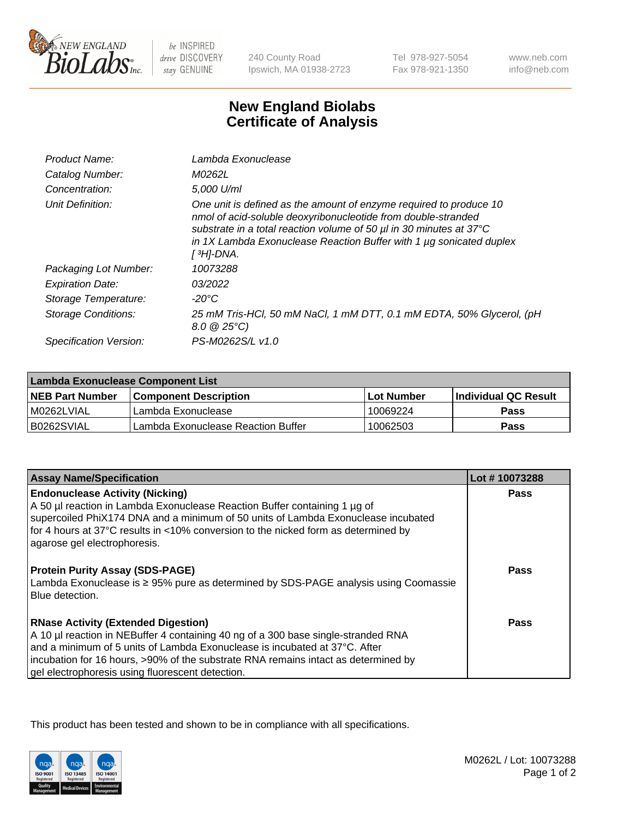

 $be$  INSPIRED drive DISCOVERY stay GENUINE

240 County Road Ipswich, MA 01938-2723

Tel 978-927-5054 Fax 978-921-1350 www.neb.com info@neb.com

## **New England Biolabs Certificate of Analysis**

| Product Name:           | Lambda Exonuclease                                                                                                                                                                                                                                                                                               |
|-------------------------|------------------------------------------------------------------------------------------------------------------------------------------------------------------------------------------------------------------------------------------------------------------------------------------------------------------|
| Catalog Number:         | M0262L                                                                                                                                                                                                                                                                                                           |
| Concentration:          | 5,000 U/ml                                                                                                                                                                                                                                                                                                       |
| Unit Definition:        | One unit is defined as the amount of enzyme required to produce 10<br>nmol of acid-soluble deoxyribonucleotide from double-stranded<br>substrate in a total reaction volume of 50 µl in 30 minutes at 37°C<br>in 1X Lambda Exonuclease Reaction Buffer with 1 $\mu$ g sonicated duplex<br>[ <sup>3</sup> H]-DNA. |
| Packaging Lot Number:   | 10073288                                                                                                                                                                                                                                                                                                         |
| <b>Expiration Date:</b> | 03/2022                                                                                                                                                                                                                                                                                                          |
| Storage Temperature:    | $-20^{\circ}$ C                                                                                                                                                                                                                                                                                                  |
| Storage Conditions:     | 25 mM Tris-HCl, 50 mM NaCl, 1 mM DTT, 0.1 mM EDTA, 50% Glycerol, (pH<br>$8.0 \ @ 25^{\circ}C$                                                                                                                                                                                                                    |
| Specification Version:  | PS-M0262S/L v1.0                                                                                                                                                                                                                                                                                                 |

| Lambda Exonuclease Component List |                                    |                   |                             |  |
|-----------------------------------|------------------------------------|-------------------|-----------------------------|--|
| <b>NEB Part Number</b>            | <b>Component Description</b>       | <b>Lot Number</b> | <b>Individual QC Result</b> |  |
| IM0262LVIAL                       | Lambda Exonuclease                 | ່ 10069224        | <b>Pass</b>                 |  |
| IB0262SVIAL                       | Lambda Exonuclease Reaction Buffer | 10062503          | Pass                        |  |

| <b>Assay Name/Specification</b>                                                                                               | Lot #10073288 |
|-------------------------------------------------------------------------------------------------------------------------------|---------------|
| <b>Endonuclease Activity (Nicking)</b>                                                                                        | <b>Pass</b>   |
| A 50 µl reaction in Lambda Exonuclease Reaction Buffer containing 1 µg of                                                     |               |
| supercoiled PhiX174 DNA and a minimum of 50 units of Lambda Exonuclease incubated                                             |               |
| for 4 hours at 37°C results in <10% conversion to the nicked form as determined by                                            |               |
| agarose gel electrophoresis.                                                                                                  |               |
|                                                                                                                               | Pass          |
| <b>Protein Purity Assay (SDS-PAGE)</b><br>Lambda Exonuclease is ≥ 95% pure as determined by SDS-PAGE analysis using Coomassie |               |
| Blue detection.                                                                                                               |               |
|                                                                                                                               |               |
| <b>RNase Activity (Extended Digestion)</b>                                                                                    | Pass          |
| A 10 µl reaction in NEBuffer 4 containing 40 ng of a 300 base single-stranded RNA                                             |               |
| and a minimum of 5 units of Lambda Exonuclease is incubated at 37°C. After                                                    |               |
| incubation for 16 hours, >90% of the substrate RNA remains intact as determined by                                            |               |
| gel electrophoresis using fluorescent detection.                                                                              |               |

This product has been tested and shown to be in compliance with all specifications.